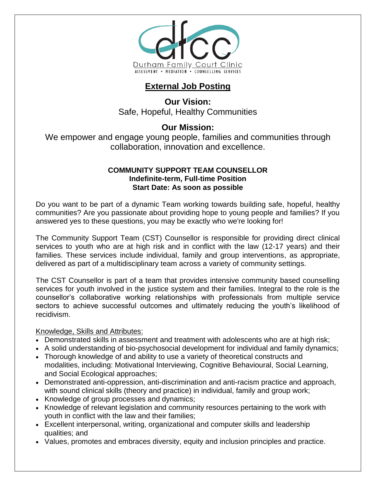

# **External Job Posting**

**Our Vision:** Safe, Hopeful, Healthy Communities

## **Our Mission:**

We empower and engage young people, families and communities through collaboration, innovation and excellence.

#### **COMMUNITY SUPPORT TEAM COUNSELLOR Indefinite-term, Full-time Position Start Date: As soon as possible**

Do you want to be part of a dynamic Team working towards building safe, hopeful, healthy communities? Are you passionate about providing hope to young people and families? If you answered yes to these questions, you may be exactly who we're looking for!

The Community Support Team (CST) Counsellor is responsible for providing direct clinical services to youth who are at high risk and in conflict with the law (12-17 years) and their families. These services include individual, family and group interventions, as appropriate, delivered as part of a multidisciplinary team across a variety of community settings.

The CST Counsellor is part of a team that provides intensive community based counselling services for youth involved in the justice system and their families. Integral to the role is the counsellor's collaborative working relationships with professionals from multiple service sectors to achieve successful outcomes and ultimately reducing the youth's likelihood of recidivism.

#### Knowledge, Skills and Attributes:

- Demonstrated skills in assessment and treatment with adolescents who are at high risk;
- A solid understanding of bio-psychosocial development for individual and family dynamics;
- Thorough knowledge of and ability to use a variety of theoretical constructs and modalities, including: Motivational Interviewing, Cognitive Behavioural, Social Learning, and Social Ecological approaches;
- Demonstrated anti-oppression, anti-discrimination and anti-racism practice and approach, with sound clinical skills (theory and practice) in individual, family and group work;
- Knowledge of group processes and dynamics;
- Knowledge of relevant legislation and community resources pertaining to the work with youth in conflict with the law and their families;
- Excellent interpersonal, writing, organizational and computer skills and leadership qualities; and
- Values, promotes and embraces diversity, equity and inclusion principles and practice.